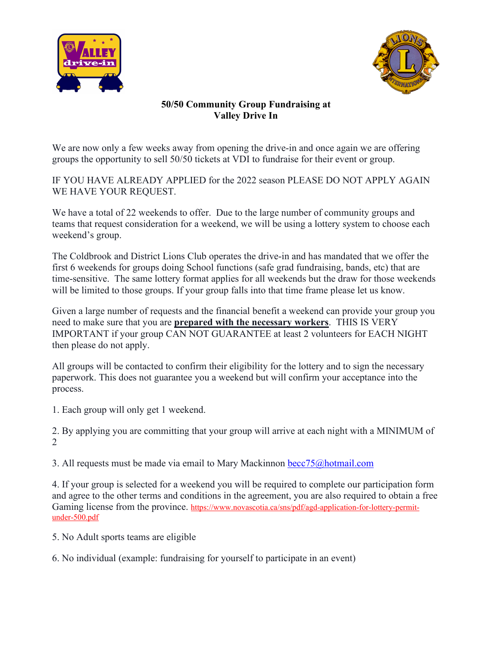



## **50/50 Community Group Fundraising at Valley Drive In**

We are now only a few weeks away from opening the drive-in and once again we are offering groups the opportunity to sell 50/50 tickets at VDI to fundraise for their event or group.

IF YOU HAVE ALREADY APPLIED for the 2022 season PLEASE DO NOT APPLY AGAIN WE HAVE YOUR REQUEST.

We have a total of 22 weekends to offer. Due to the large number of community groups and teams that request consideration for a weekend, we will be using a lottery system to choose each weekend's group.

The Coldbrook and District Lions Club operates the drive-in and has mandated that we offer the first 6 weekends for groups doing School functions (safe grad fundraising, bands, etc) that are time-sensitive. The same lottery format applies for all weekends but the draw for those weekends will be limited to those groups. If your group falls into that time frame please let us know.

Given a large number of requests and the financial benefit a weekend can provide your group you need to make sure that you are **prepared with the necessary workers**. THIS IS VERY IMPORTANT if your group CAN NOT GUARANTEE at least 2 volunteers for EACH NIGHT then please do not apply.

All groups will be contacted to confirm their eligibility for the lottery and to sign the necessary paperwork. This does not guarantee you a weekend but will confirm your acceptance into the process.

1. Each group will only get 1 weekend.

2. By applying you are committing that your group will arrive at each night with a MINIMUM of 2

3. All requests must be made via email to Mary Mackinnon [becc75@hotmail.com](mailto:becc77@hotmail.com)

4. If your group is selected for a weekend you will be required to complete our participation form and agree to the other terms and conditions in the agreement, you are also required to obtain a free Gaming license from the province. https://www.novascotia.ca/sns/pdf/agd-application-for-lottery-permitunder-500.pdf

5. No Adult sports teams are eligible

6. No individual (example: fundraising for yourself to participate in an event)